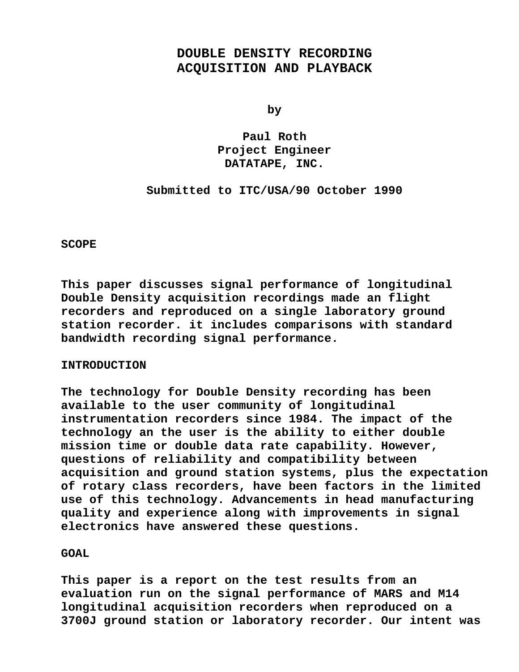# **DOUBLE DENSITY RECORDING ACQUISITION AND PLAYBACK**

**by**

**Paul Roth Project Engineer DATATAPE, INC.**

### **Submitted to ITC/USA/90 October 1990**

**SCOPE**

**This paper discusses signal performance of longitudinal Double Density acquisition recordings made an flight recorders and reproduced on a single laboratory ground station recorder. it includes comparisons with standard bandwidth recording signal performance.**

### **INTRODUCTION**

**The technology for Double Density recording has been available to the user community of longitudinal instrumentation recorders since 1984. The impact of the technology an the user is the ability to either double mission time or double data rate capability. However, questions of reliability and compatibility between acquisition and ground station systems, plus the expectation of rotary class recorders, have been factors in the limited use of this technology. Advancements in head manufacturing quality and experience along with improvements in signal electronics have answered these questions.**

**GOAL**

**This paper is a report on the test results from an evaluation run on the signal performance of MARS and M14 longitudinal acquisition recorders when reproduced on a 3700J ground station or laboratory recorder. Our intent was**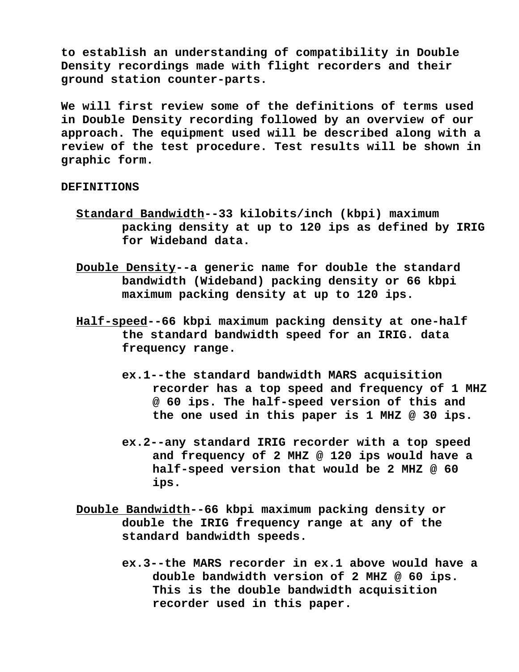**to establish an understanding of compatibility in Double Density recordings made with flight recorders and their ground station counter-parts.**

**We will first review some of the definitions of terms used in Double Density recording followed by an overview of our approach. The equipment used will be described along with a review of the test procedure. Test results will be shown in graphic form.**

### **DEFINITIONS**

- **Standard Bandwidth--33 kilobits/inch (kbpi) maximum packing density at up to 120 ips as defined by IRIG for Wideband data.**
- **Double Density--a generic name for double the standard bandwidth (Wideband) packing density or 66 kbpi maximum packing density at up to 120 ips.**
- **Half-speed--66 kbpi maximum packing density at one-half the standard bandwidth speed for an IRIG. data frequency range.**
	- **ex.1--the standard bandwidth MARS acquisition recorder has a top speed and frequency of 1 MHZ @ 60 ips. The half-speed version of this and the one used in this paper is 1 MHZ @ 30 ips.**
	- **ex.2--any standard IRIG recorder with a top speed and frequency of 2 MHZ @ 120 ips would have a half-speed version that would be 2 MHZ @ 60 ips.**
- **Double Bandwidth--66 kbpi maximum packing density or double the IRIG frequency range at any of the standard bandwidth speeds.**
	- **ex.3--the MARS recorder in ex.1 above would have a double bandwidth version of 2 MHZ @ 60 ips. This is the double bandwidth acquisition recorder used in this paper.**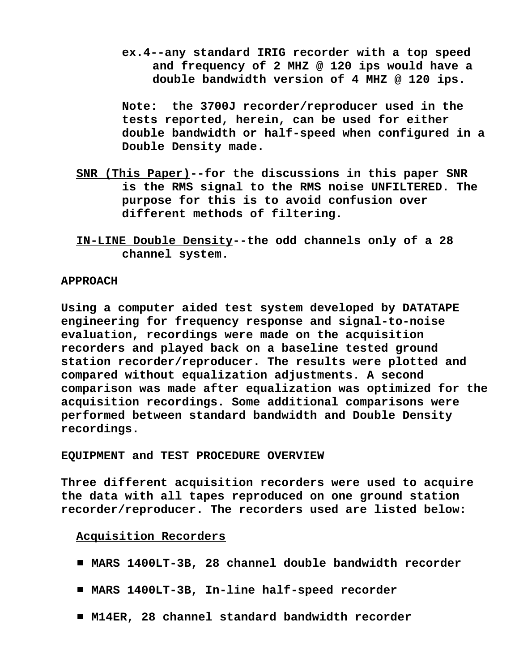**ex.4--any standard IRIG recorder with a top speed and frequency of 2 MHZ @ 120 ips would have a double bandwidth version of 4 MHZ @ 120 ips.**

**Note: the 3700J recorder/reproducer used in the tests reported, herein, can be used for either double bandwidth or half-speed when configured in a Double Density made.**

- **SNR (This Paper)--for the discussions in this paper SNR is the RMS signal to the RMS noise UNFILTERED. The purpose for this is to avoid confusion over different methods of filtering.**
- **IN-LINE Double Density--the odd channels only of a 28 channel system.**

## **APPROACH**

**Using a computer aided test system developed by DATATAPE engineering for frequency response and signal-to-noise evaluation, recordings were made on the acquisition recorders and played back on a baseline tested ground station recorder/reproducer. The results were plotted and compared without equalization adjustments. A second comparison was made after equalization was optimized for the acquisition recordings. Some additional comparisons were performed between standard bandwidth and Double Density recordings.**

**EQUIPMENT and TEST PROCEDURE OVERVIEW**

**Three different acquisition recorders were used to acquire the data with all tapes reproduced on one ground station recorder/reproducer. The recorders used are listed below:**

### **Acquisition Recorders**

- # **MARS 1400LT-3B, 28 channel double bandwidth recorder**
- MARS 1400LT-3B, In-line half-speed recorder
- M14ER, 28 channel standard bandwidth recorder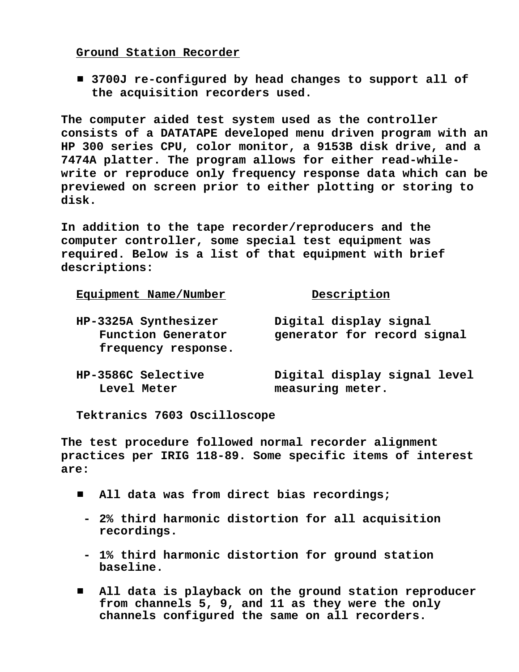**Ground Station Recorder**

■ 3700J re-configured by head changes to support all of **the acquisition recorders used.**

**The computer aided test system used as the controller consists of a DATATAPE developed menu driven program with an HP 300 series CPU, color monitor, a 9153B disk drive, and a 7474A platter. The program allows for either read-whilewrite or reproduce only frequency response data which can be previewed on screen prior to either plotting or storing to disk.**

**In addition to the tape recorder/reproducers and the computer controller, some special test equipment was required. Below is a list of that equipment with brief descriptions:**

| Equipment Name/Number                                             | Description                                           |
|-------------------------------------------------------------------|-------------------------------------------------------|
| HP-3325A Synthesizer<br>Function Generator<br>frequency response. | Digital display signal<br>generator for record signal |
| HP-3586C Selective<br>Level Meter                                 | Digital display signal level<br>measuring meter.      |

**Tektranics 7603 Oscilloscope**

**The test procedure followed normal recorder alignment practices per IRIG 118-89. Some specific items of interest are:**

- All data was from direct bias recordings;
	- **- 2% third harmonic distortion for all acquisition recordings.**
	- **- 1% third harmonic distortion for ground station baseline.**
- $\blacksquare$  All data is playback on the ground station reproducer **from channels 5, 9, and 11 as they were the only channels configured the same on all recorders.**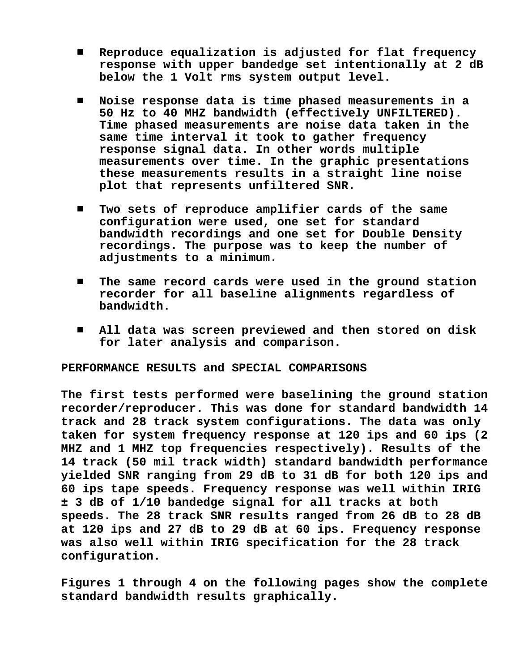- # **Reproduce equalization is adjusted for flat frequency response with upper bandedge set intentionally at 2 dB below the 1 Volt rms system output level.**
- # **Noise response data is time phased measurements in a 50 Hz to 40 MHZ bandwidth (effectively UNFILTERED). Time phased measurements are noise data taken in the same time interval it took to gather frequency response signal data. In other words multiple measurements over time. In the graphic presentations these measurements results in a straight line noise plot that represents unfiltered SNR.**
- $\blacksquare$  Two sets of reproduce amplifier cards of the same **configuration were used, one set for standard bandwidth recordings and one set for Double Density recordings. The purpose was to keep the number of adjustments to a minimum.**
- $\blacksquare$  The same record cards were used in the ground station **recorder for all baseline alignments regardless of bandwidth.**
- $\blacksquare$  All data was screen previewed and then stored on disk **for later analysis and comparison.**

### **PERFORMANCE RESULTS and SPECIAL COMPARISONS**

**The first tests performed were baselining the ground station recorder/reproducer. This was done for standard bandwidth 14 track and 28 track system configurations. The data was only taken for system frequency response at 120 ips and 60 ips (2 MHZ and 1 MHZ top frequencies respectively). Results of the 14 track (50 mil track width) standard bandwidth performance yielded SNR ranging from 29 dB to 31 dB for both 120 ips and 60 ips tape speeds. Frequency response was well within IRIG ± 3 dB of 1/10 bandedge signal for all tracks at both speeds. The 28 track SNR results ranged from 26 dB to 28 dB at 120 ips and 27 dB to 29 dB at 60 ips. Frequency response was also well within IRIG specification for the 28 track configuration.**

**Figures 1 through 4 on the following pages show the complete standard bandwidth results graphically.**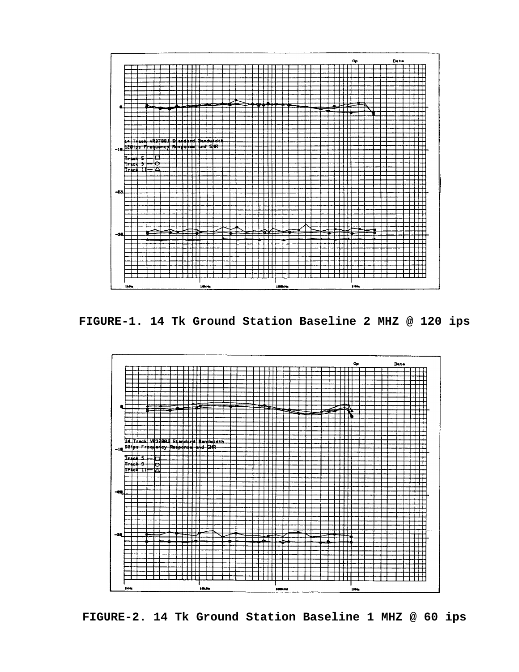

**FIGURE-1. 14 Tk Ground Station Baseline 2 MHZ @ 120 ips**



**FIGURE-2. 14 Tk Ground Station Baseline 1 MHZ @ 60 ips**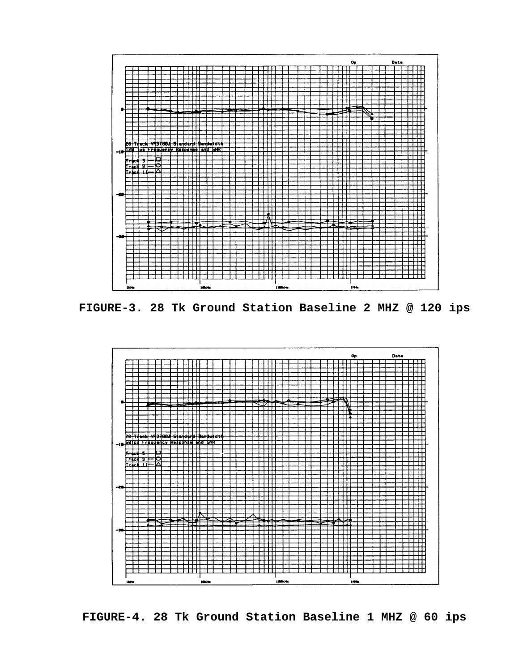

**FIGURE-3. 28 Tk Ground Station Baseline 2 MHZ @ 120 ips**



**FIGURE-4. 28 Tk Ground Station Baseline 1 MHZ @ 60 ips**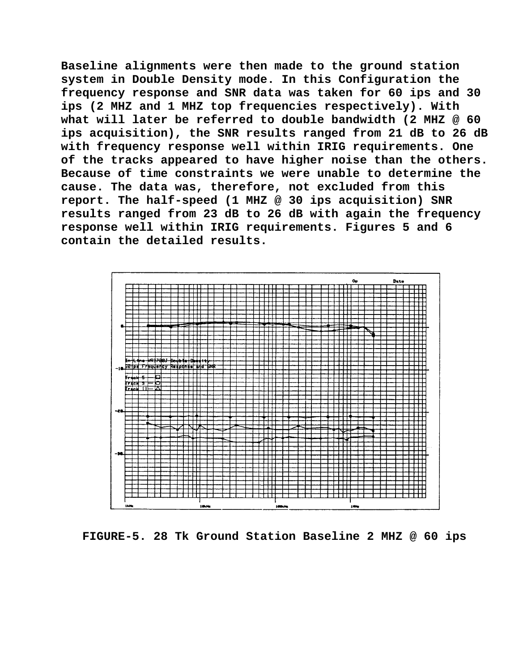**Baseline alignments were then made to the ground station system in Double Density mode. In this Configuration the frequency response and SNR data was taken for 60 ips and 30 ips (2 MHZ and 1 MHZ top frequencies respectively). With what will later be referred to double bandwidth (2 MHZ @ 60 ips acquisition), the SNR results ranged from 21 dB to 26 dB with frequency response well within IRIG requirements. One of the tracks appeared to have higher noise than the others. Because of time constraints we were unable to determine the cause. The data was, therefore, not excluded from this report. The half-speed (1 MHZ @ 30 ips acquisition) SNR results ranged from 23 dB to 26 dB with again the frequency response well within IRIG requirements. Figures 5 and 6 contain the detailed results.**



**FIGURE-5. 28 Tk Ground Station Baseline 2 MHZ @ 60 ips**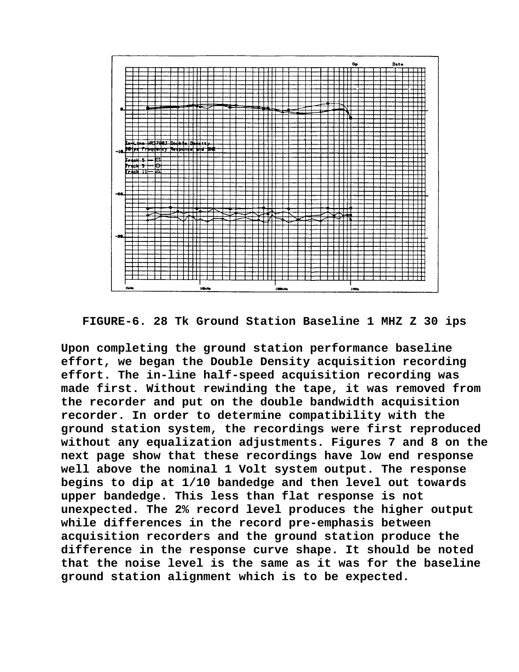

**FIGURE-6. 28 Tk Ground Station Baseline 1 MHZ Z 30 ips**

**Upon completing the ground station performance baseline effort, we began the Double Density acquisition recording effort. The in-line half-speed acquisition recording was made first. Without rewinding the tape, it was removed from the recorder and put on the double bandwidth acquisition recorder. In order to determine compatibility with the ground station system, the recordings were first reproduced without any equalization adjustments. Figures 7 and 8 on the next page show that these recordings have low end response well above the nominal 1 Volt system output. The response begins to dip at 1/10 bandedge and then level out towards upper bandedge. This less than flat response is not unexpected. The 2% record level produces the higher output while differences in the record pre-emphasis between acquisition recorders and the ground station produce the difference in the response curve shape. It should be noted that the noise level is the same as it was for the baseline ground station alignment which is to be expected.**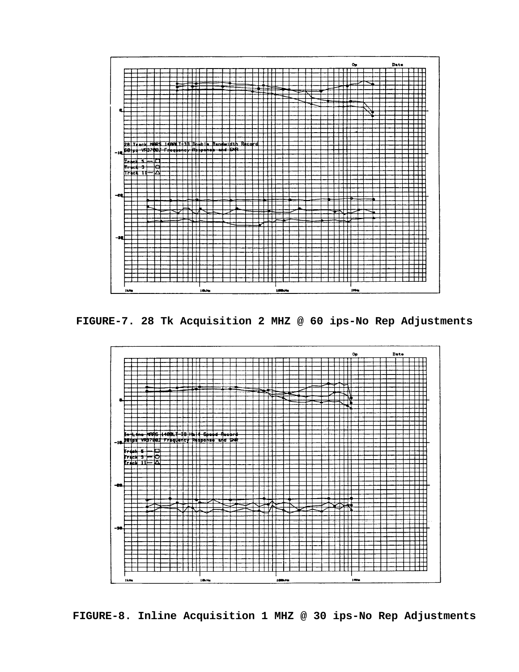

**FIGURE-7. 28 Tk Acquisition 2 MHZ @ 60 ips-No Rep Adjustments**



**FIGURE-8. Inline Acquisition 1 MHZ @ 30 ips-No Rep Adjustments**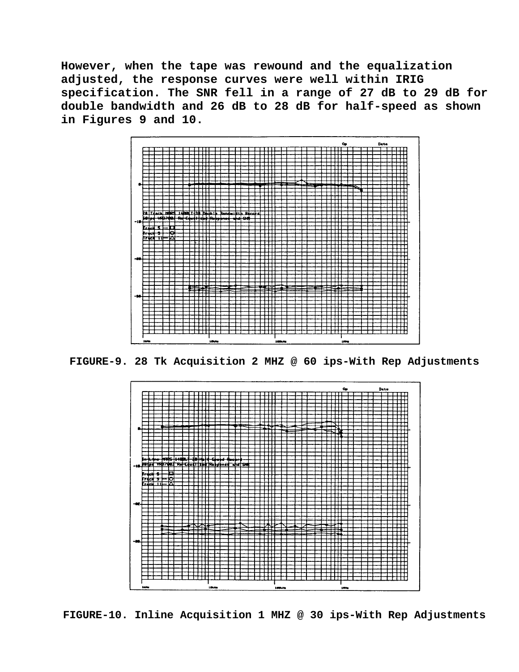**However, when the tape was rewound and the equalization adjusted, the response curves were well within IRIG specification. The SNR fell in a range of 27 dB to 29 dB for double bandwidth and 26 dB to 28 dB for half-speed as shown in Figures 9 and 10.**



**FIGURE-9. 28 Tk Acquisition 2 MHZ @ 60 ips-With Rep Adjustments**



**FIGURE-10. Inline Acquisition 1 MHZ @ 30 ips-With Rep Adjustments**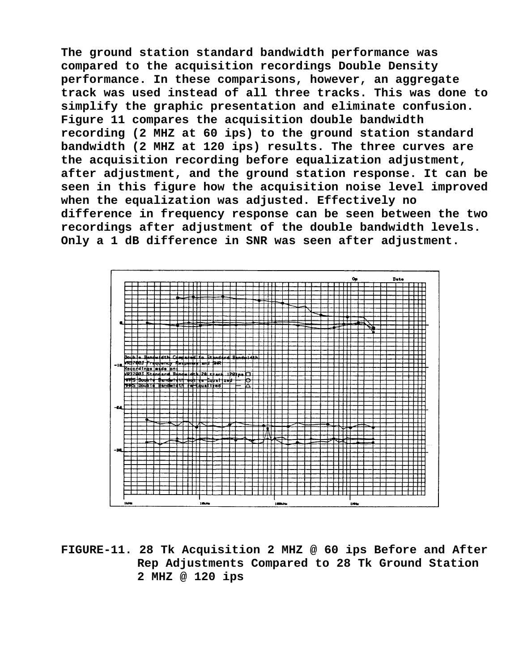**The ground station standard bandwidth performance was compared to the acquisition recordings Double Density performance. In these comparisons, however, an aggregate track was used instead of all three tracks. This was done to simplify the graphic presentation and eliminate confusion. Figure 11 compares the acquisition double bandwidth recording (2 MHZ at 60 ips) to the ground station standard bandwidth (2 MHZ at 120 ips) results. The three curves are the acquisition recording before equalization adjustment, after adjustment, and the ground station response. It can be seen in this figure how the acquisition noise level improved when the equalization was adjusted. Effectively no difference in frequency response can be seen between the two recordings after adjustment of the double bandwidth levels. Only a 1 dB difference in SNR was seen after adjustment.**



**FIGURE-11. 28 Tk Acquisition 2 MHZ @ 60 ips Before and After Rep Adjustments Compared to 28 Tk Ground Station 2 MHZ @ 120 ips**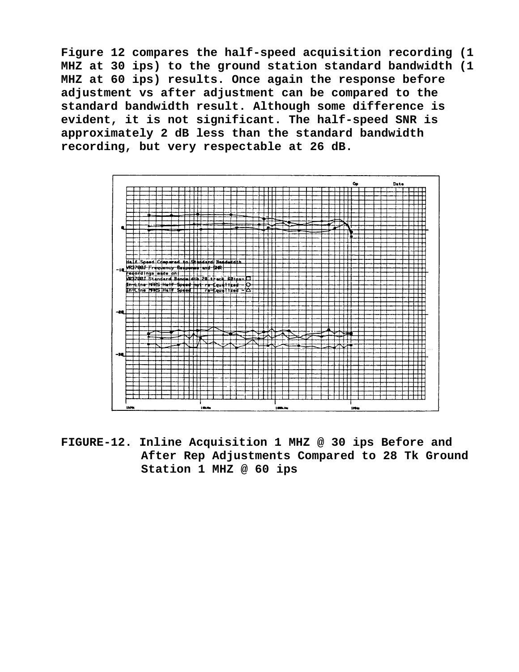**Figure 12 compares the half-speed acquisition recording (1 MHZ at 30 ips) to the ground station standard bandwidth (1 MHZ at 60 ips) results. Once again the response before adjustment vs after adjustment can be compared to the standard bandwidth result. Although some difference is evident, it is not significant. The half-speed SNR is approximately 2 dB less than the standard bandwidth recording, but very respectable at 26 dB.**



**FIGURE-12. Inline Acquisition 1 MHZ @ 30 ips Before and After Rep Adjustments Compared to 28 Tk Ground Station 1 MHZ @ 60 ips**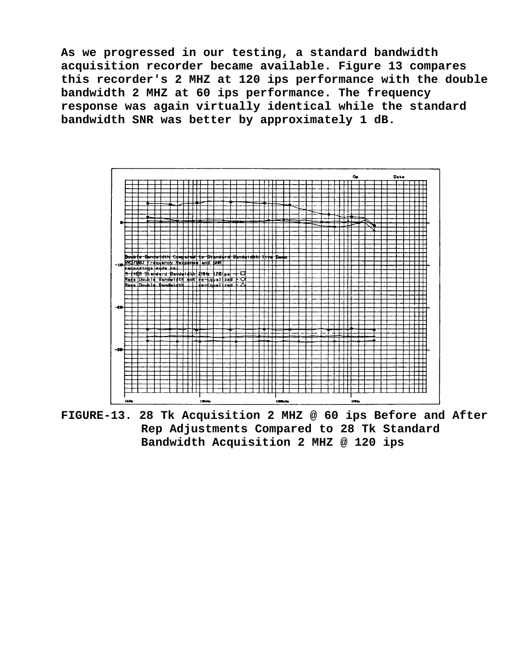**As we progressed in our testing, a standard bandwidth acquisition recorder became available. Figure 13 compares this recorder's 2 MHZ at 120 ips performance with the double bandwidth 2 MHZ at 60 ips performance. The frequency response was again virtually identical while the standard bandwidth SNR was better by approximately 1 dB.**



**FIGURE-13. 28 Tk Acquisition 2 MHZ @ 60 ips Before and After Rep Adjustments Compared to 28 Tk Standard Bandwidth Acquisition 2 MHZ @ 120 ips**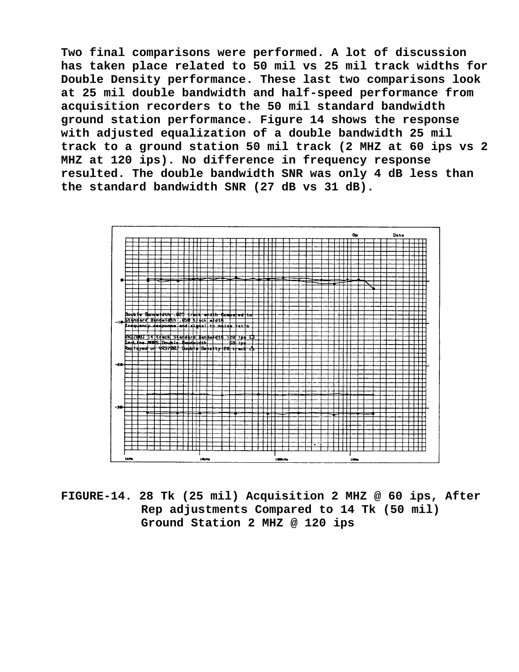**Two final comparisons were performed. A lot of discussion has taken place related to 50 mil vs 25 mil track widths for Double Density performance. These last two comparisons look at 25 mil double bandwidth and half-speed performance from acquisition recorders to the 50 mil standard bandwidth ground station performance. Figure 14 shows the response with adjusted equalization of a double bandwidth 25 mil track to a ground station 50 mil track (2 MHZ at 60 ips vs 2 MHZ at 120 ips). No difference in frequency response resulted. The double bandwidth SNR was only 4 dB less than the standard bandwidth SNR (27 dB vs 31 dB).**



**FIGURE-14. 28 Tk (25 mil) Acquisition 2 MHZ @ 60 ips, After Rep adjustments Compared to 14 Tk (50 mil) Ground Station 2 MHZ @ 120 ips**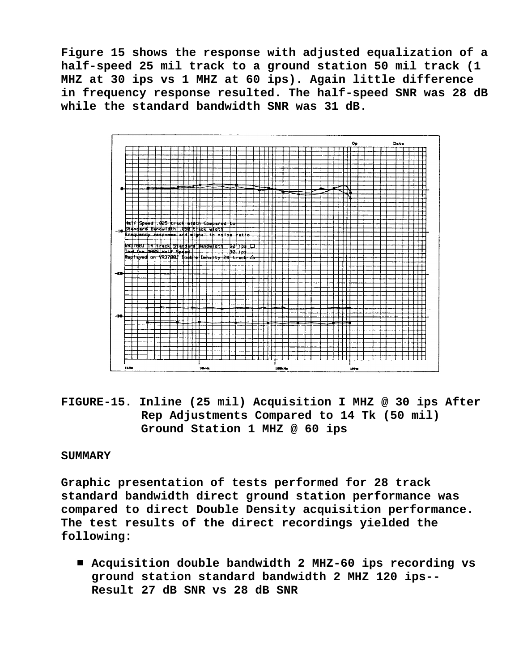**Figure 15 shows the response with adjusted equalization of a half-speed 25 mil track to a ground station 50 mil track (1 MHZ at 30 ips vs 1 MHZ at 60 ips). Again little difference in frequency response resulted. The half-speed SNR was 28 dB while the standard bandwidth SNR was 31 dB.**



**FIGURE-15. Inline (25 mil) Acquisition I MHZ @ 30 ips After Rep Adjustments Compared to 14 Tk (50 mil) Ground Station 1 MHZ @ 60 ips**

### **SUMMARY**

**Graphic presentation of tests performed for 28 track standard bandwidth direct ground station performance was compared to direct Double Density acquisition performance. The test results of the direct recordings yielded the following:**

■ Acquisition double bandwidth 2 MHZ-60 ips recording vs **ground station standard bandwidth 2 MHZ 120 ips-- Result 27 dB SNR vs 28 dB SNR**